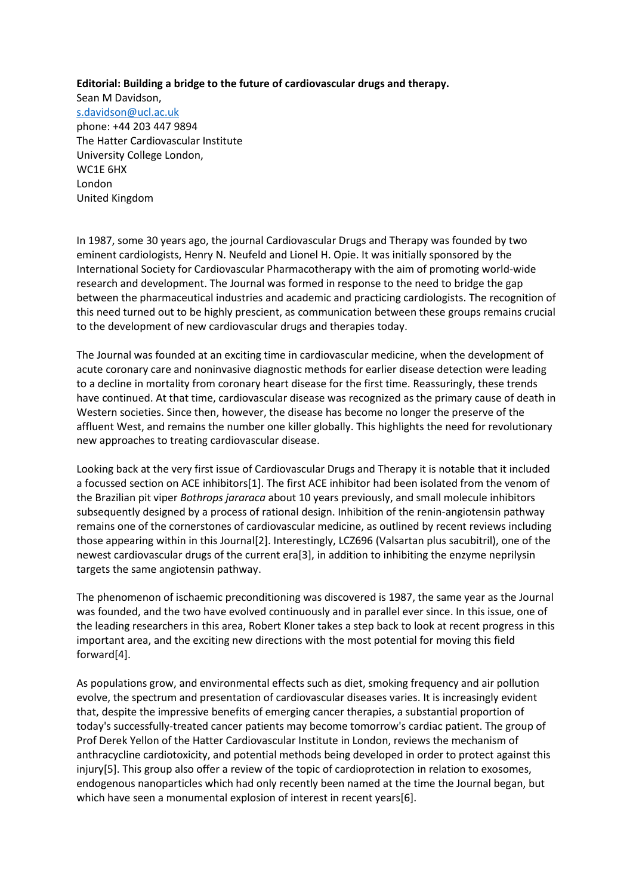**Editorial: Building a bridge to the future of cardiovascular drugs and therapy.**

Sean M Davidson, [s.davidson@ucl.ac.uk](mailto:s.davidson@ucl.ac.uk) phone: +44 203 447 9894 The Hatter Cardiovascular Institute University College London, WC1E 6HX London United Kingdom

In 1987, some 30 years ago, the journal Cardiovascular Drugs and Therapy was founded by two eminent cardiologists, Henry N. Neufeld and Lionel H. Opie. It was initially sponsored by the International Society for Cardiovascular Pharmacotherapy with the aim of promoting world-wide research and development. The Journal was formed in response to the need to bridge the gap between the pharmaceutical industries and academic and practicing cardiologists. The recognition of this need turned out to be highly prescient, as communication between these groups remains crucial to the development of new cardiovascular drugs and therapies today.

The Journal was founded at an exciting time in cardiovascular medicine, when the development of acute coronary care and noninvasive diagnostic methods for earlier disease detection were leading to a decline in mortality from coronary heart disease for the first time. Reassuringly, these trends have continued. At that time, cardiovascular disease was recognized as the primary cause of death in Western societies. Since then, however, the disease has become no longer the preserve of the affluent West, and remains the number one killer globally. This highlights the need for revolutionary new approaches to treating cardiovascular disease.

Looking back at the very first issue of Cardiovascular Drugs and Therapy it is notable that it included a focussed section on ACE inhibitors[1]. The first ACE inhibitor had been isolated from the venom of the Brazilian pit viper *Bothrops jararaca* about 10 years previously, and small molecule inhibitors subsequently designed by a process of rational design. Inhibition of the renin-angiotensin pathway remains one of the cornerstones of cardiovascular medicine, as outlined by recent reviews including those appearing within in this Journal[2]. Interestingly, LCZ696 (Valsartan plus sacubitril), one of the newest cardiovascular drugs of the current era[3], in addition to inhibiting the enzyme neprilysin targets the same angiotensin pathway.

The phenomenon of ischaemic preconditioning was discovered is 1987, the same year as the Journal was founded, and the two have evolved continuously and in parallel ever since. In this issue, one of the leading researchers in this area, Robert Kloner takes a step back to look at recent progress in this important area, and the exciting new directions with the most potential for moving this field forward[4].

As populations grow, and environmental effects such as diet, smoking frequency and air pollution evolve, the spectrum and presentation of cardiovascular diseases varies. It is increasingly evident that, despite the impressive benefits of emerging cancer therapies, a substantial proportion of today's successfully-treated cancer patients may become tomorrow's cardiac patient. The group of Prof Derek Yellon of the Hatter Cardiovascular Institute in London, reviews the mechanism of anthracycline cardiotoxicity, and potential methods being developed in order to protect against this injury[5]. This group also offer a review of the topic of cardioprotection in relation to exosomes, endogenous nanoparticles which had only recently been named at the time the Journal began, but which have seen a monumental explosion of interest in recent years[6].